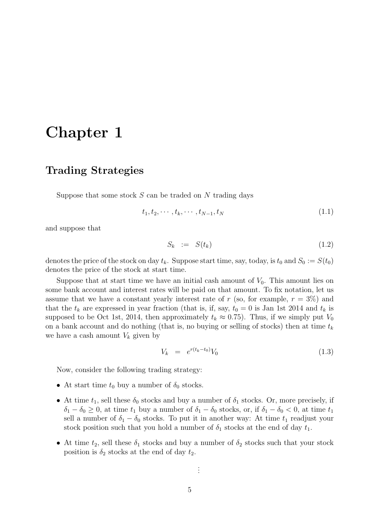# Chapter 1

## Trading Strategies

Suppose that some stock  $S$  can be traded on  $N$  trading days

$$
t_1, t_2, \cdots, t_k, \cdots, t_{N-1}, t_N \tag{1.1}
$$

and suppose that

$$
S_k := S(t_k) \tag{1.2}
$$

denotes the price of the stock on day  $t_k$ . Suppose start time, say, today, is  $t_0$  and  $S_0 := S(t_0)$ denotes the price of the stock at start time.

Suppose that at start time we have an initial cash amount of  $V_0$ . This amount lies on some bank account and interest rates will be paid on that amount. To fix notation, let us assume that we have a constant yearly interest rate of r (so, for example,  $r = 3\%$ ) and that the  $t_k$  are expressed in year fraction (that is, if, say,  $t_0 = 0$  is Jan 1st 2014 and  $t_k$  is supposed to be Oct 1st, 2014, then approximately  $t_k \approx 0.75$ ). Thus, if we simply put  $V_0$ on a bank account and do nothing (that is, no buying or selling of stocks) then at time  $t_k$ we have a cash amount  $V_k$  given by

$$
V_k = e^{r(t_k - t_0)} V_0 \tag{1.3}
$$

Now, consider the following trading strategy:

- At start time  $t_0$  buy a number of  $\delta_0$  stocks.
- At time  $t_1$ , sell these  $\delta_0$  stocks and buy a number of  $\delta_1$  stocks. Or, more precisely, if  $\delta_1 - \delta_0 \geq 0$ , at time  $t_1$  buy a number of  $\delta_1 - \delta_0$  stocks, or, if  $\delta_1 - \delta_0 < 0$ , at time  $t_1$ sell a number of  $\delta_1 - \delta_0$  stocks. To put it in another way: At time  $t_1$  readjust your stock position such that you hold a number of  $\delta_1$  stocks at the end of day  $t_1$ .
- At time  $t_2$ , sell these  $\delta_1$  stocks and buy a number of  $\delta_2$  stocks such that your stock position is  $\delta_2$  stocks at the end of day  $t_2$ .

. . .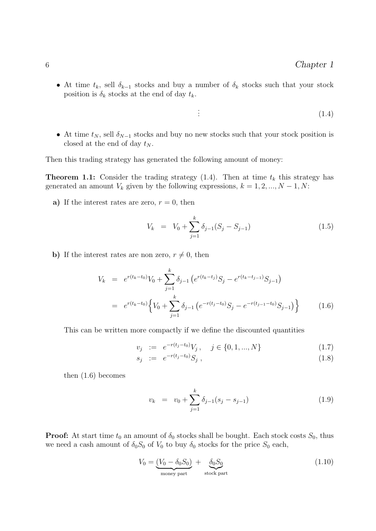• At time  $t_k$ , sell  $\delta_{k-1}$  stocks and buy a number of  $\delta_k$  stocks such that your stock position is  $\delta_k$  stocks at the end of day  $t_k$ .

. .

- $(1.4)$
- At time  $t_N$ , sell  $\delta_{N-1}$  stocks and buy no new stocks such that your stock position is closed at the end of day  $t_N$ .

Then this trading strategy has generated the following amount of money:

**Theorem 1.1:** Consider the trading strategy  $(1.4)$ . Then at time  $t_k$  this strategy has generated an amount  $V_k$  given by the following expressions,  $k = 1, 2, ..., N - 1, N$ :

a) If the interest rates are zero,  $r = 0$ , then

$$
V_k = V_0 + \sum_{j=1}^k \delta_{j-1} (S_j - S_{j-1})
$$
\n(1.5)

b) If the interest rates are non zero,  $r \neq 0$ , then

$$
V_k = e^{r(t_k - t_0)} V_0 + \sum_{j=1}^k \delta_{j-1} \left( e^{r(t_k - t_j)} S_j - e^{r(t_k - t_{j-1})} S_{j-1} \right)
$$
  
= 
$$
e^{r(t_k - t_0)} \left\{ V_0 + \sum_{j=1}^k \delta_{j-1} \left( e^{-r(t_j - t_0)} S_j - e^{-r(t_{j-1} - t_0)} S_{j-1} \right) \right\}
$$
(1.6)

This can be written more compactly if we define the discounted quantities

$$
v_j := e^{-r(t_j - t_0)} V_j, \quad j \in \{0, 1, ..., N\}
$$
\n(1.7)

$$
s_j := e^{-r(t_j - t_0)} S_j , \qquad (1.8)
$$

then (1.6) becomes

$$
v_k = v_0 + \sum_{j=1}^k \delta_{j-1}(s_j - s_{j-1})
$$
\n(1.9)

**Proof:** At start time  $t_0$  an amount of  $\delta_0$  stocks shall be bought. Each stock costs  $S_0$ , thus we need a cash amount of  $\delta_0 S_0$  of  $V_0$  to buy  $\delta_0$  stocks for the price  $S_0$  each,

$$
V_0 = \underbrace{(V_0 - \delta_0 S_0)}_{\text{money part}} + \underbrace{\delta_0 S_0}_{\text{stock part}}
$$
\n(1.10)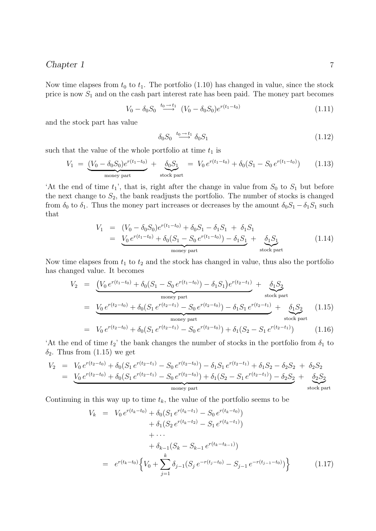#### Chapter 1 7

Now time elapses from  $t_0$  to  $t_1$ . The portfolio (1.10) has changed in value, since the stock price is now  $S_1$  and on the cash part interest rate has been paid. The money part becomes

$$
V_0 - \delta_0 S_0 \stackrel{t_0 \to t_1}{\longrightarrow} (V_0 - \delta_0 S_0) e^{r(t_1 - t_0)}
$$
\n(1.11)

and the stock part has value

$$
\delta_0 S_0 \stackrel{t_0 \to t_1}{\longrightarrow} \delta_0 S_1 \tag{1.12}
$$

such that the value of the whole portfolio at time  $t_1$  is

$$
V_1 = \underbrace{(V_0 - \delta_0 S_0)e^{r(t_1 - t_0)}}_{\text{money part}} + \underbrace{\delta_0 S_1}_{\text{stock part}} = V_0 e^{r(t_1 - t_0)} + \delta_0 (S_1 - S_0 e^{r(t_1 - t_0)}) \tag{1.13}
$$

'At the end of time  $t_1$ ', that is, right after the change in value from  $S_0$  to  $S_1$  but before the next change to  $S_2$ , the bank readjusts the portfolio. The number of stocks is changed from  $\delta_0$  to  $\delta_1$ . Thus the money part increases or decreases by the amount  $\delta_0S_1 - \delta_1S_1$  such that

$$
V_1 = (V_0 - \delta_0 S_0) e^{r(t_1 - t_0)} + \delta_0 S_1 - \delta_1 S_1 + \delta_1 S_1
$$
  
= 
$$
\underbrace{V_0 e^{r(t_1 - t_0)} + \delta_0 (S_1 - S_0 e^{r(t_1 - t_0)}) - \delta_1 S_1}_{\text{money part}} + \underbrace{\delta_1 S_1}_{\text{stock part}}
$$
(1.14)

Now time elapses from  $t_1$  to  $t_2$  and the stock has changed in value, thus also the portfolio has changed value. It becomes

$$
V_2 = \underbrace{\left(V_0 e^{r(t_1 - t_0)} + \delta_0 (S_1 - S_0 e^{r(t_1 - t_0)}) - \delta_1 S_1\right) e^{r(t_2 - t_1)}}_{\text{money part}} + \underbrace{\delta_1 S_2}_{\text{stock part}}
$$
\n
$$
= \underbrace{V_0 e^{r(t_2 - t_0)} + \delta_0 (S_1 e^{r(t_2 - t_1)} - S_0 e^{r(t_2 - t_0)}) - \delta_1 S_1 e^{r(t_2 - t_1)}}_{\text{money part}} + \underbrace{\delta_1 S_2}_{\text{stock part}}
$$
\n
$$
= V_0 e^{r(t_2 - t_0)} + \delta_0 (S_1 e^{r(t_2 - t_1)} - S_0 e^{r(t_2 - t_0)}) + \delta_1 (S_2 - S_1 e^{r(t_2 - t_1)}) \tag{1.16}
$$

'At the end of time  $t_2$ ' the bank changes the number of stocks in the portfolio from  $\delta_1$  to  $\delta_2$ . Thus from (1.15) we get

$$
V_2 = V_0 e^{r(t_2 - t_0)} + \delta_0 (S_1 e^{r(t_2 - t_1)} - S_0 e^{r(t_2 - t_0)}) - \delta_1 S_1 e^{r(t_2 - t_1)} + \delta_1 S_2 - \delta_2 S_2 + \delta_2 S_2
$$
  
= 
$$
V_0 e^{r(t_2 - t_0)} + \delta_0 (S_1 e^{r(t_2 - t_1)} - S_0 e^{r(t_2 - t_0)}) + \delta_1 (S_2 - S_1 e^{r(t_2 - t_1)}) - \delta_2 S_2 + \delta_2 S_2
$$
  
money part  
stock part

Continuing in this way up to time  $t_k$ , the value of the portfolio seems to be

$$
V_k = V_0 e^{r(t_k - t_0)} + \delta_0 (S_1 e^{r(t_k - t_1)} - S_0 e^{r(t_k - t_0)})
$$
  
+  $\delta_1 (S_2 e^{r(t_k - t_2)} - S_1 e^{r(t_k - t_1)})$   
+  $\cdots$   
+  $\delta_{k-1} (S_k - S_{k-1} e^{r(t_k - t_{k-1})})$   
=  $e^{r(t_k - t_0)} \Big\{ V_0 + \sum_{j=1}^k \delta_{j-1} (S_j e^{-r(t_j - t_0)} - S_{j-1} e^{-r(t_{j-1} - t_0)}) \Big\}$  (1.17)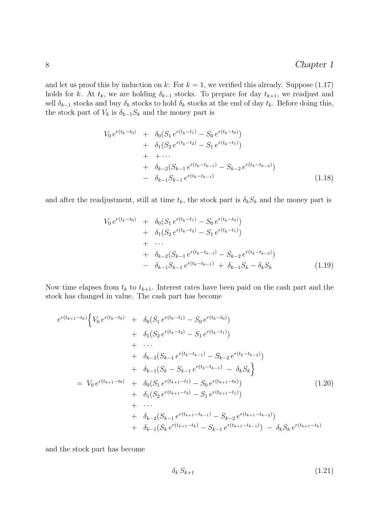and let us proof this by induction on k: For  $k = 1$ , we verified this already. Suppose (1.17) holds for k. At  $t_k$ , we are holding  $\delta_{k-1}$  stocks. To prepare for day  $t_{k+1}$ , we readjust and sell  $\delta_{k-1}$  stocks and buy  $\delta_k$  stocks to hold  $\delta_k$  stocks at the end of day  $t_k$ . Before doing this, the stock part of  $V_k$  is  $\delta_{k-1}S_k$  and the money part is

$$
V_0 e^{r(t_k - t_0)} + \delta_0 (S_1 e^{r(t_k - t_1)} - S_0 e^{r(t_k - t_0)})
$$
  
+ 
$$
\delta_1 (S_2 e^{r(t_k - t_2)} - S_1 e^{r(t_k - t_1)})
$$
  
+ 
$$
+ \cdots
$$
  
+ 
$$
\delta_{k-2} (S_{k-1} e^{r(t_k - t_{k-1})} - S_{k-2} e^{r(t_k - t_{k-2})})
$$
  
- 
$$
\delta_{k-1} S_{k-1} e^{r(t_k - t_{k-1})}
$$
(1.18)

and after the readjustment, still at time  $t_k$ , the stock part is  $\delta_k S_k$  and the money part is

$$
V_0 e^{r(t_k-t_0)} + \delta_0 (S_1 e^{r(t_k-t_1)} - S_0 e^{r(t_k-t_0)})
$$
  
+  $\delta_1 (S_2 e^{r(t_k-t_2)} - S_1 e^{r(t_k-t_1)})$   
+ ...  
+  $\delta_{k-2} (S_{k-1} e^{r(t_k-t_{k-1})} - S_{k-2} e^{r(t_k-t_{k-2})})$   
-  $\delta_{k-1} S_{k-1} e^{r(t_k-t_{k-1})} + \delta_{k-1} S_k - \delta_k S_k$  (1.19)

Now time elapses from  $t_k$  to  $t_{k+1}$ . Interest rates have been paid on the cash part and the stock has changed in value. The cash part has become

$$
e^{r(t_{k+1}-t_k)}\left\{V_0 e^{r(t_k-t_0)} + \delta_0(S_1 e^{r(t_k-t_1)} - S_0 e^{r(t_k-t_0)}) + \delta_1(S_2 e^{r(t_k-t_2)} - S_1 e^{r(t_k-t_1)}) + \cdots + \delta_{k-2}(S_{k-1} e^{r(t_k-t_{k-1})} - S_{k-2} e^{r(t_k-t_{k-2})}) + \delta_{k-1}(S_k - S_{k-1} e^{r(t_k-t_{k-1})} - \delta_k S_k\right\}
$$
  
=  $V_0 e^{r(t_{k+1}-t_0)} + \delta_0(S_1 e^{r(t_{k+1}-t_1)} - S_0 e^{r(t_{k+1}-t_0)}) + \delta_1(S_2 e^{r(t_{k+1}-t_2)} - S_1 e^{r(t_{k+1}-t_1)}) + \cdots + \delta_{k-2}(S_{k-1} e^{r(t_{k+1}-t_{k-1})} - S_{k-2} e^{r(t_{k+1}-t_{k-2})}) + \delta_{k-1}(S_k e^{r(t_{k+1}-t_k)} - S_{k-1} e^{r(t_{k+1}-t_{k-1})}) - \delta_k S_k e^{r(t_{k+1}-t_k)}$ 

and the stock part has become

$$
\delta_k S_{k+1} \tag{1.21}
$$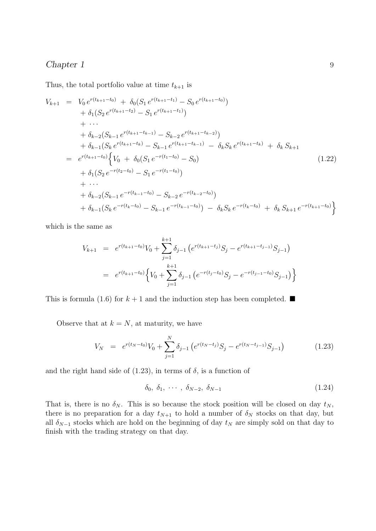### Chapter 1 9

Thus, the total portfolio value at time  $t_{k+1}$  is

$$
V_{k+1} = V_0 e^{r(t_{k+1}-t_0)} + \delta_0 (S_1 e^{r(t_{k+1}-t_1)} - S_0 e^{r(t_{k+1}-t_0)})
$$
  
+  $\delta_1 (S_2 e^{r(t_{k+1}-t_2)} - S_1 e^{r(t_{k+1}-t_1)})$   
+  $\cdots$   
+  $\delta_{k-2} (S_{k-1} e^{r(t_{k+1}-t_{k-1}}) - S_{k-2} e^{r(t_{k+1}-t_{k-2})})$   
+  $\delta_{k-1} (S_k e^{r(t_{k+1}-t_k)} - S_{k-1} e^{r(t_{k+1}-t_{k-1}}) - \delta_k S_k e^{r(t_{k+1}-t_k)} + \delta_k S_{k+1}$   
=  $e^{r(t_{k+1}-t_0)} \Big\{ V_0 + \delta_0 (S_1 e^{-r(t_1-t_0)} - S_0)$   
+  $\delta_1 (S_2 e^{-r(t_2-t_0)} - S_1 e^{-r(t_1-t_0)})$   
+  $\cdots$   
+  $\delta_{k-2} (S_{k-1} e^{-r(t_{k-1}-t_0)} - S_{k-2} e^{-r(t_{k-2}-t_0)})$   
+  $\delta_{k-1} (S_k e^{-r(t_k-t_0)} - S_{k-1} e^{-r(t_{k-1}-t_0)}) - \delta_k S_k e^{-r(t_k-t_0)} + \delta_k S_{k+1} e^{-r(t_{k+1}-t_0)} \Big\}$ 

which is the same as

$$
V_{k+1} = e^{r(t_{k+1}-t_0)}V_0 + \sum_{j=1}^{k+1} \delta_{j-1} \left( e^{r(t_{k+1}-t_j)}S_j - e^{r(t_{k+1}-t_{j-1})}S_{j-1} \right)
$$
  
= 
$$
e^{r(t_{k+1}-t_0)} \left\{ V_0 + \sum_{j=1}^{k+1} \delta_{j-1} \left( e^{-r(t_j-t_0)}S_j - e^{-r(t_{j-1}-t_0)}S_{j-1} \right) \right\}
$$

This is formula (1.6) for  $k + 1$  and the induction step has been completed.

Observe that at  $k = N$ , at maturity, we have

$$
V_N = e^{r(t_N - t_0)} V_0 + \sum_{j=1}^N \delta_{j-1} \left( e^{r(t_N - t_j)} S_j - e^{r(t_N - t_{j-1})} S_{j-1} \right)
$$
(1.23)

and the right hand side of  $(1.23)$ , in terms of  $\delta$ , is a function of

$$
\delta_0, \delta_1, \cdots, \delta_{N-2}, \delta_{N-1} \tag{1.24}
$$

That is, there is no  $\delta_N$ . This is so because the stock position will be closed on day  $t_N$ , there is no preparation for a day  $t_{N+1}$  to hold a number of  $\delta_N$  stocks on that day, but all  $\delta_{N-1}$  stocks which are hold on the beginning of day  $t_N$  are simply sold on that day to finish with the trading strategy on that day.